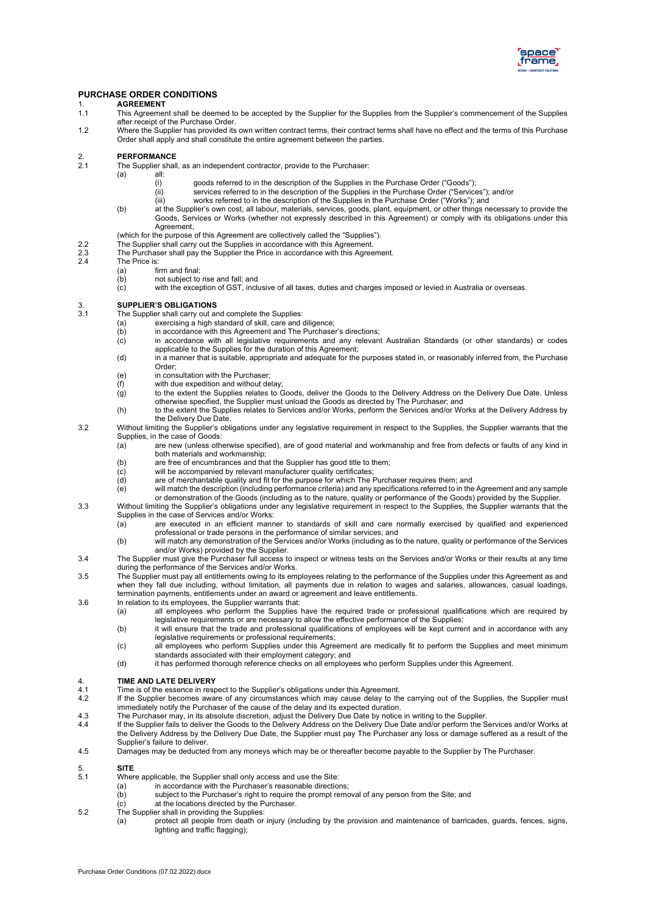

#### **PURCHASE ORDER CONDITIONS**

- 1. **AGREEMENT**<br>1.1 This Agreemer
- This Agreement shall be deemed to be accepted by the Supplier for the Supplies from the Supplier's commencement of the Supplies after receipt of the Purchase Order.
- 1.2 Where the Supplier has provided its own written contract terms, their contract terms shall have no effect and the terms of this Purchase Order shall apply and shall constitute the entire agreement between the parties.

## 2. **PERFORMANCE**<br>2.1 The Supplier shall

- The Supplier shall, as an independent contractor, provide to the Purchaser:<br>(a) all:
- all:<br>(i)
	- (i) goods referred to in the description of the Supplies in the Purchase Order ("Goods");<br>(ii) services referred to in the description of the Supplies in the Purchase Order ("Service
		- $\begin{pmatrix} \dot{u} \\ \dot{v} \end{pmatrix}$  services referred to in the description of the Supplies in the Purchase Order ("Services"); and/or <br>(iii) works referred to in the description of the Supplies in the Purchase Order ("Works"): and
		- works referred to in the description of the Supplies in the Purchase Order ("Works"); and
	- (b) at the Supplier's own cost, all labour, materials, services, goods, plant, equipment, or other things necessary to provide the Goods, Services or Works (whether not expressly described in this Agreement) or comply with its obligations under this Agreement,
- (which for the purpose of this Agreement are collectively called the "Supplies").
- 2.2 The Supplier shall carry out the Supplies in accordance with this Agreement. 2.3 The Purchaser shall pay the Supplier the Price in accordance with this Agreement.<br>2.4 The Price is:
- The Price is:
	-
	- (a) firm and final;<br>(b) mot subiect to not subject to rise and fall; and
	- (c) with the exception of GST, inclusive of all taxes, duties and charges imposed or levied in Australia or overseas.

## 3. **SUPPLIER'S OBLIGATIONS**

- The Supplier shall carry out and complete the Supplies:
- (a) exercising a high standard of skill, care and diligence;<br>(b) in accordance with this Agreement and The Purchase
- (b) in accordance with this Agreement and The Purchaser's directions;<br>(c) in accordance with all legislative reguirements and any relevan
- in accordance with all legislative requirements and any relevant Australian Standards (or other standards) or codes applicable to the Supplies for the duration of this Agreement;
- (d) in a manner that is suitable, appropriate and adequate for the purposes stated in, or reasonably inferred from, the Purchase Order;
- (e) in consultation with the Purchaser;<br>(f) with due expedition and without de
- $(f)$  with due expedition and without delay;<br>(g) to the extent the Supplies relates to C
- to the extent the Supplies relates to Goods, deliver the Goods to the Delivery Address on the Delivery Due Date. Unless otherwise specified, the Supplier must unload the Goods as directed by The Purchaser; and
- (h) to the extent the Supplies relates to Services and/or Works, perform the Services and/or Works at the Delivery Address by the Delivery Due Date.
- 3.2 Without limiting the Supplier's obligations under any legislative requirement in respect to the Supplies, the Supplier warrants that the Supplies, in the case of Goods:<br>(a) are new (unless oth
	- are new (unless otherwise specified), are of good material and workmanship and free from defects or faults of any kind in both materials and workmanship;
	-
	- (b) are free of encumbrances and that the Supplier has good title to them;<br>(c) will be accompanied by relevant manufacturer quality certificates;<br>(d) are of merchantable quality and fit for the purpose for which The Purch will be accompanied by relevant manufacturer quality certificates;
	- (d) are of merchantable quality and fit for the purpose for which The Purchaser requires them; and
	- (e) will match the description (including performance criteria) and any specifications referred to in the Agreement and any sample
- or demonstration of the Goods (including as to the nature, quality or performance of the Goods) provided by the Supplier. 3.3 Without limiting the Supplier's obligations under any legislative requirement in respect to the Supplies, the Supplier warrants that the Supplies in the case of Services and/or Works:
	- (a) are executed in an efficient manner to standards of skill and care normally exercised by qualified and experienced professional or trade persons in the performance of similar services; and
	- (b) will match any demonstration of the Services and/or Works (including as to the nature, quality or performance of the Services and/or Works) provided by the Supplier.
- 3.4 The Supplier must give the Purchaser full access to inspect or witness tests on the Services and/or Works or their results at any time during the performance of the Services and/or Works.
- 3.5 The Supplier must pay all entitlements owing to its employees relating to the performance of the Supplies under this Agreement as and when they fall due including, without limitation, all payments due in relation to wages and salaries, allowances, casual loadings, termination payments, entitlements under an award or agreement and leave entitlements.
- 3.6 In relation to its employees, the Supplier warrants that:
	- (a) all employees who perform the Supplies have the required trade or professional qualifications which are required by legislative requirements or are necessary to allow the effective performance of the Supplies;
	- (b) it will ensure that the trade and professional qualifications of employees will be kept current and in accordance with any legislative requirements or professional requirements;
	- (c) all employees who perform Supplies under this Agreement are medically fit to perform the Supplies and meet minimum standards associated with their employment category; and
	- (d) it has performed thorough reference checks on all employees who perform Supplies under this Agreement.

### 4. **TIME AND LATE DELIVERY**<br>4.1 Time is of the essence in rest

- 4.1 Time is of the essence in respect to the Supplier's obligations under this Agreement.<br>4.2 If the Supplier becomes aware of any circumstances which may cause delay to the
- If the Supplier becomes aware of any circumstances which may cause delay to the carrying out of the Supplies, the Supplier must immediately notify the Purchaser of the cause of the delay and its expected duration.
- 4.3 The Purchaser may, in its absolute discretion, adjust the Delivery Due Date by notice in writing to the Supplier.<br>4.4 If the Supplier fails to deliver the Goods to the Delivery Address on the Delivery Due Date and/or p
- If the Supplier fails to deliver the Goods to the Delivery Address on the Delivery Due Date and/or perform the Services and/or Works at the Delivery Address by the Delivery Due Date, the Supplier must pay The Purchaser any loss or damage suffered as a result of the Supplier's failure to deliver.
- 4.5 Damages may be deducted from any moneys which may be or thereafter become payable to the Supplier by The Purchaser.

## 5. **SITE**

- Where applicable, the Supplier shall only access and use the Site:<br>(a) in accordance with the Purchaser's reasonable direction
- (a) in accordance with the Purchaser's reasonable directions;<br>(b) subject to the Purchaser's right to require the prompt reme
- $(b)$  subject to the Purchaser's right to require the prompt removal of any person from the Site; and (c) at the locations directed by the Purchaser.
- at the locations directed by the Purchaser
- 5.2 The Supplier shall in providing the Supplies:
	- (a) protect all people from death or injury (including by the provision and maintenance of barricades, guards, fences, signs, lighting and traffic flagging);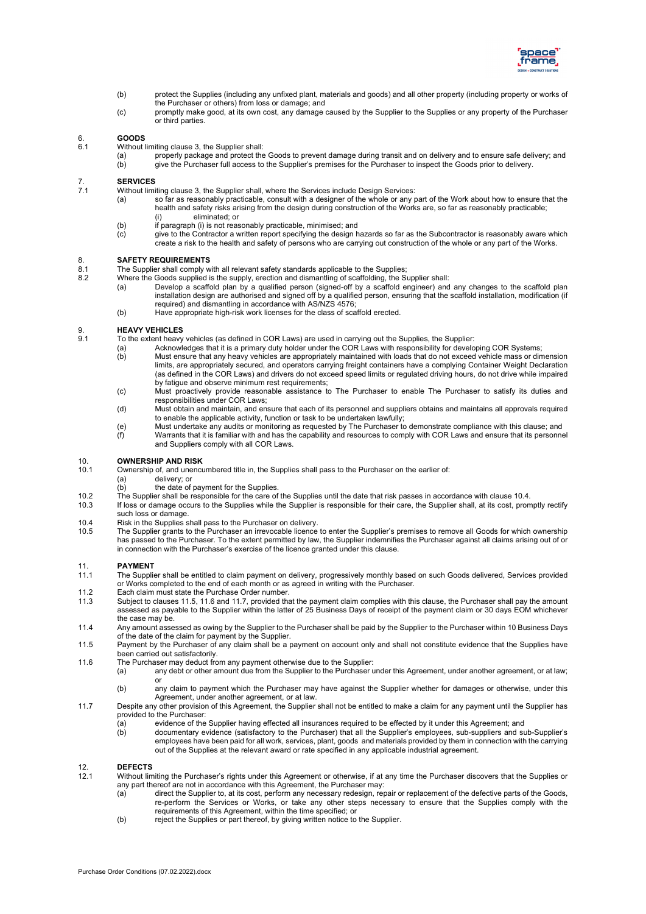

- (b) protect the Supplies (including any unfixed plant, materials and goods) and all other property (including property or works of the Purchaser or others) from loss or damage; and
- (c) promptly make good, at its own cost, any damage caused by the Supplier to the Supplies or any property of the Purchaser or third parties.

## 6. **GOODS**

- Without limiting clause 3, the Supplier shall:
	- (a) properly package and protect the Goods to prevent damage during transit and on delivery and to ensure safe delivery; and (b) give the Purchaser full access to the Supplier's premises for the Purchaser to inspect the Go
	- give the Purchaser full access to the Supplier's premises for the Purchaser to inspect the Goods prior to delivery.

### 7. **SERVICES**

- Without limiting clause 3, the Supplier shall, where the Services include Design Services:
	- (a) so far as reasonably practicable, consult with a designer of the whole or any part of the Work about how to ensure that the health and safety risks arising from the design during construction of the Works are, so far as reasonably practicable; (i) eliminated; or
	- (b) if paragraph (i) is not reasonably practicable, minimised; and (c) dive to the Contractor a written report specifying the design h
	- give to the Contractor a written report specifying the design hazards so far as the Subcontractor is reasonably aware which create a risk to the health and safety of persons who are carrying out construction of the whole or any part of the Works.

# 8. **SAFETY REQUIREMENTS**<br>8.1 The Supplier shall comply w

- 8.1 The Supplier shall comply with all relevant safety standards applicable to the Supplies;<br>8.2 Where the Goods supplied is the supply, erection and dismantling of scaffolding, the Su
	- Where the Goods supplied is the supply, erection and dismantling of scaffolding, the Supplier shall:
		- (a) Develop a scaffold plan by a qualified person (signed-off by a scaffold engineer) and any changes to the scaffold plan installation design are authorised and signed off by a qualified person, ensuring that the scaffold installation, modification (if required) and dismantling in accordance with AS/NZS 4576;
		- (b) Have appropriate high-risk work licenses for the class of scaffold erected.

# 9. **HEAVY VEHICLES**<br>9.1 To the extent heavy

- 9.1 To the extent heavy vehicles (as defined in COR Laws) are used in carrying out the Supplies, the Supplier:
	- (a) Acknowledges that it is a primary duty holder under the COR Laws with responsibility for developing COR Systems;<br>(b) Must ensure that any heavy vehicles are appropriately maintained with loads that do not exceed vehicl Must ensure that any heavy vehicles are appropriately maintained with loads that do not exceed vehicle mass or dimension
		- limits, are appropriately secured, and operators carrying freight containers have a complying Container Weight Declaration (as defined in the COR Laws) and drivers do not exceed speed limits or regulated driving hours, do not drive while impaired by fatigue and observe minimum rest requirements;
		- (c) Must proactively provide reasonable assistance to The Purchaser to enable The Purchaser to satisfy its duties and responsibilities under COR Laws;
	- (d) Must obtain and maintain, and ensure that each of its personnel and suppliers obtains and maintains all approvals required to enable the applicable activity, function or task to be undertaken lawfully;
	- (e) Must undertake any audits or monitoring as requested by The Purchaser to demonstrate compliance with this clause; and<br>(f) Warrants that it is familiar with and has the capability and resources to comply with COR Laws a Warrants that it is familiar with and has the capability and resources to comply with COR Laws and ensure that its personnel and Suppliers comply with all COR Laws.

# 10. **OWNERSHIP AND RISK**

- Ownership of, and unencumbered title in, the Supplies shall pass to the Purchaser on the earlier of:
	- (a) delivery; or<br>(b) the date of
	- the date of payment for the Supplies.
- 10.2 The Supplier shall be responsible for the care of the Supplies until the date that risk passes in accordance with clause [10.4.](#page-1-0)<br>10.3 If loss or damage occurs to the Supplies while the Supplier is responsible for their
- 10.3 If loss or damage occurs to the Supplies while the Supplier is responsible for their care, the Supplier shall, at its cost, promptly rectify such loss or damage.
- <span id="page-1-0"></span>10.4 Risk in the Supplies shall pass to the Purchaser on delivery.<br>10.5 The Supplier grants to the Purchaser an irrevocable licence
- The Supplier grants to the Purchaser an irrevocable licence to enter the Supplier's premises to remove all Goods for which ownership has passed to the Purchaser. To the extent permitted by law, the Supplier indemnifies the Purchaser against all claims arising out of or in connection with the Purchaser's exercise of the licence granted under this clause.

## 11. **PAYMENT**<br>11.1 The Supplie

- 11.1 The Supplier shall be entitled to claim payment on delivery, progressively monthly based on such Goods delivered, Services provided or Works completed to the end of each month or as agreed in writing with the Purchaser.
- 11.2 Each claim must state the Purchase Order number.<br>11.3 Subject to clauses 11.5, 11.6 and 11.7, provided the
- Subject to clauses [11.5,](#page-1-1) [11.6](#page-1-2) an[d 11.7,](#page-1-3) provided that the payment claim complies with this clause, the Purchaser shall pay the amount assessed as payable to the Supplier within the latter of 25 Business Days of receipt of the payment claim or 30 days EOM whichever the case may be.
- 11.4 Any amount assessed as owing by the Supplier to the Purchaser shall be paid by the Supplier to the Purchaser within 10 Business Days of the date of the claim for payment by the Supplier.
- <span id="page-1-1"></span>11.5 Payment by the Purchaser of any claim shall be a payment on account only and shall not constitute evidence that the Supplies have been carried out satisfactorily.
- <span id="page-1-2"></span>11.6 The Purchaser may deduct from any payment otherwise due to the Supplier:
	- (a) any debt or other amount due from the Supplier to the Purchaser under this Agreement, under another agreement, or at law; or
		- (b) any claim to payment which the Purchaser may have against the Supplier whether for damages or otherwise, under this Agreement, under another agreement, or at law.
- <span id="page-1-3"></span>11.7 Despite any other provision of this Agreement, the Supplier shall not be entitled to make a claim for any payment until the Supplier has provided to the Purchaser:
	- (a) evidence of the Supplier having effected all insurances required to be effected by it under this Agreement; and<br>(b) documentary evidence (satisfactory to the Purchaser) that all the Supplier's employees, sub-suppliers
		- documentary evidence (satisfactory to the Purchaser) that all the Supplier's employees, sub-suppliers and sub-Supplier's employees have been paid for all work, services, plant, goods and materials provided by them in connection with the carrying out of the Supplies at the relevant award or rate specified in any applicable industrial agreement.

## 12. **DEFECTS**<br>12.1 Without lin

- <span id="page-1-4"></span>12.1 Without limiting the Purchaser's rights under this Agreement or otherwise, if at any time the Purchaser discovers that the Supplies or any part thereof are not in accordance with this Agreement, the Purchaser may:
	- (a) direct the Supplier to, at its cost, perform any necessary redesign, repair or replacement of the defective parts of the Goods, re-perform the Services or Works, or take any other steps necessary to ensure that the Supplies comply with the requirements of this Agreement, within the time specified; or
	- (b) reject the Supplies or part thereof, by giving written notice to the Supplier.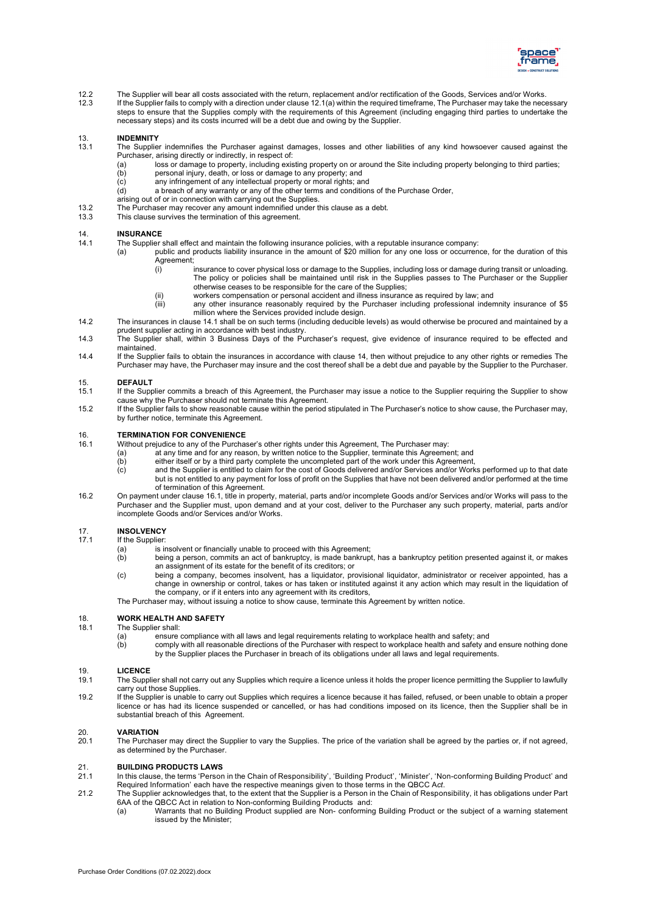

- 12.2 The Supplier will bear all costs associated with the return, replacement and/or rectification of the Goods, Services and/or Works.<br>12.3 If the Supplier fails to comply with a direction under clause 12.1(a) within the If the Supplier fails to comply with a direction under claus[e 12.1\(a\)](#page-1-4) within the required timeframe, The Purchaser may take the necessary
- steps to ensure that the Supplies comply with the requirements of this Agreement (including engaging third parties to undertake the necessary steps) and its costs incurred will be a debt due and owing by the Supplier.

# 13. **INDEMNITY**

- The Supplier indemnifies the Purchaser against damages, losses and other liabilities of any kind howsoever caused against the Purchaser, arising directly or indirectly, in respect of:<br>(a) loss or damage to property, including exis
	- (a) loss or damage to property, including existing property on or around the Site including property belonging to third parties;<br>(b) personal injury, death, or loss or damage to any property; and
		- $\begin{array}{lll} \text{(b)} & \text{personal injury, death, or loss or damage to any property; and} \\ \text{(c)} & \text{any infinitely an or inring.} \end{array}$
		- any infringement of any intellectual property or moral rights; and
	- (d) a breach of any warranty or any of the other terms and conditions of the Purchase Order, arising out of or in connection with carrying out the Supplies.
- 13.2 The Purchaser may recover any amount indemnified under this clause as a debt.<br>13.3 This clause survives the termination of this agreement.
- This clause survives the termination of this agreement.

# <span id="page-2-0"></span>14. **INSURANCE**<br>14.1 The Supplier

- The Supplier shall effect and maintain the following insurance policies, with a reputable insurance company:
	- (a) public and products liability insurance in the amount of \$20 million for any one loss or occurrence, for the duration of this Agreement;<br>(i)
		- insurance to cover physical loss or damage to the Supplies, including loss or damage during transit or unloading. The policy or policies shall be maintained until risk in the Supplies passes to The Purchaser or the Supplier otherwise ceases to be responsible for the care of the Supplies;
		- (ii) workers compensation or personal accident and illness insurance as required by law; and<br>(iii) any other insurance reasonably required by the Purchaser including professional inder
		- any other insurance reasonably required by the Purchaser including professional indemnity insurance of \$5 million where the Services provided include design.
- 14.2 The insurances in claus[e 14.1](#page-2-0) shall be on such terms (including deducible levels) as would otherwise be procured and maintained by a prudent supplier acting in accordance with best industry.
- 14.3 The Supplier shall, within 3 Business Days of the Purchaser's request, give evidence of insurance required to be effected and maintained.
- 14.4 If the Supplier fails to obtain the insurances in accordance with clause 14, then without prejudice to any other rights or remedies The Purchaser may have, the Purchaser may insure and the cost thereof shall be a debt due and payable by the Supplier to the Purchaser.

#### 15. **DEFAULT**

- If the Supplier commits a breach of this Agreement, the Purchaser may issue a notice to the Supplier requiring the Supplier to show cause why the Purchaser should not terminate this Agreement.
- 15.2 If the Supplier fails to show reasonable cause within the period stipulated in The Purchaser's notice to show cause, the Purchaser may, by further notice, terminate this Agreement.

## <span id="page-2-1"></span>16. **TERMINATION FOR CONVENIENCE**

- Without prejudice to any of the Purchaser's other rights under this Agreement, The Purchaser may:<br>
(a) at any time and for any reason, by written notice to the Supplier, terminate this Agreeme<br>
(b) either itself or by a th
	- at any time and for any reason, by written notice to the Supplier, terminate this Agreement; and
	- either itself or by a third party complete the uncompleted part of the work under this Agreement,
	- $(c)$  and the Supplier is entitled to claim for the cost of Goods delivered and/or Services and/or Works performed up to that date but is not entitled to any payment for loss of profit on the Supplies that have not been delivered and/or performed at the time of termination of this Agreement.
- 16.2 On payment under claus[e 16.1,](#page-2-1) title in property, material, parts and/or incomplete Goods and/or Services and/or Works will pass to the Purchaser and the Supplier must, upon demand and at your cost, deliver to the Purchaser any such property, material, parts and/or incomplete Goods and/or Services and/or Works.

## 17. **INSOLVENCY**

- If the Supplier:
	- (a) is insolvent or financially unable to proceed with this Agreement;
	- (b) being a person, commits an act of bankruptcy, is made bankrupt, has a bankruptcy petition presented against it, or makes an assignment of its estate for the benefit of its creditors; or
	- (c) being a company, becomes insolvent, has a liquidator, provisional liquidator, administrator or receiver appointed, has a change in ownership or control, takes or has taken or instituted against it any action which may result in the liquidation of the company, or if it enters into any agreement with its creditors,
	- The Purchaser may, without issuing a notice to show cause, terminate this Agreement by written notice.

### 18. **WORK HEALTH AND SAFETY**

- The Supplier shall:<br>(a) ensure (a) ensure compliance with all laws and legal requirements relating to workplace health and safety; and (b) comply with all reasonable directions of the Purchaser with respect to workplace health and safety ar
- comply with all reasonable directions of the Purchaser with respect to workplace health and safety and ensure nothing done by the Supplier places the Purchaser in breach of its obligations under all laws and legal requirements.

## 19. **LICENCE**<br>19.1 The Suppl

- The Supplier shall not carry out any Supplies which require a licence unless it holds the proper licence permitting the Supplier to lawfully carry out those Supplies.
- 19.2 If the Supplier is unable to carry out Supplies which requires a licence because it has failed, refused, or been unable to obtain a proper licence or has had its licence suspended or cancelled, or has had conditions imposed on its licence, then the Supplier shall be in substantial breach of this Agreement.

## 20. **VARIATION**<br>20.1 The Purchas

The Purchaser may direct the Supplier to vary the Supplies. The price of the variation shall be agreed by the parties or, if not agreed, as determined by the Purchaser.

## 21. **BUILDING PRODUCTS LAWS**

- 21.1 In this clause, the terms 'Person in the Chain of Responsibility', 'Building Product', 'Minister', 'Non-conforming Building Product' and Required Information' each have the respective meanings given to those terms in the QBCC A*ct*.
- 21.2 The Supplier acknowledges that, to the extent that the Supplier is a Person in the Chain of Responsibility, it has obligations under Part 6AA of the QBCC Act in relation to Non-conforming Building Products and:<br>(a) Warrants that no Building Product supplied are Non- conforming
	- Warrants that no Building Product supplied are Non- conforming Building Product or the subject of a warning statement issued by the Minister;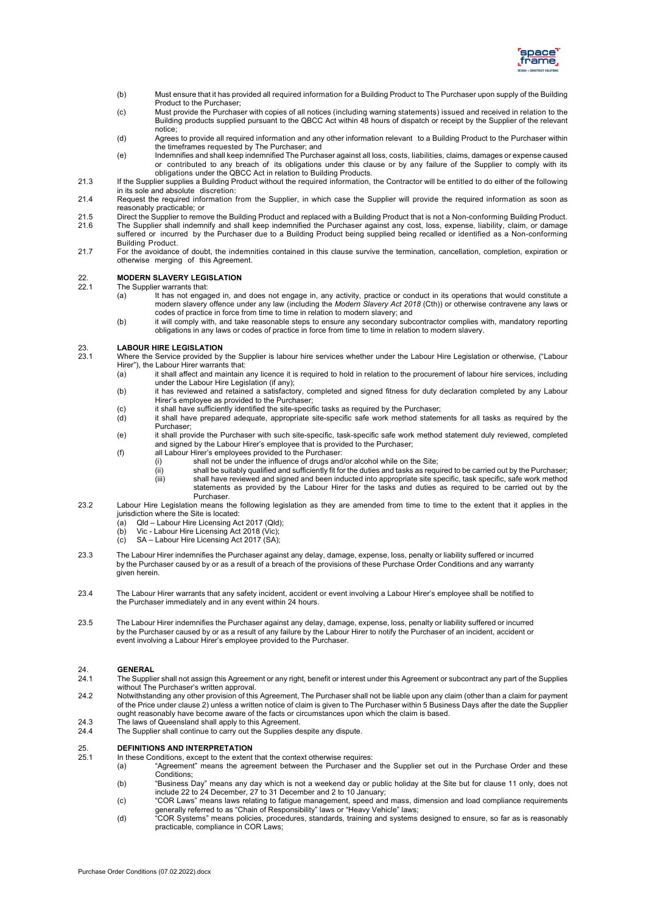

- (b) Must ensure that it has provided all required information for a Building Product to The Purchaser upon supply of the Building Product to the Purchaser;
- (c) Must provide the Purchaser with copies of all notices (including warning statements) issued and received in relation to the Building products supplied pursuant to the QBCC Act within 48 hours of dispatch or receipt by the Supplier of the relevant notice;
- (d) Agrees to provide all required information and any other information relevant to a Building Product to the Purchaser within the timeframes requested by The Purchaser; and
- (e) Indemnifies and shall keep indemnified The Purchaser against all loss, costs, liabilities, claims, damages or expense caused or contributed to any breach of its obligations under this clause or by any failure of the Supplier to comply with its obligations under the QBCC Act in relation to Building Products.
- 21.3 If the Supplier supplies a Building Product without the required information, the Contractor will be entitled to do either of the following in its sole and absolute discretion:
- 21.4 Request the required information from the Supplier, in which case the Supplier will provide the required information as soon as reasonably practicable; or
- 21.5 Direct the Supplier to remove the Building Product and replaced with a Building Product that is not a Non-conforming Building Product.<br>21.6 The Supplier shall indemnify and shall keep indemnified the Purchaser against 21.6 The Supplier shall indemnify and shall keep indemnified the Purchaser against any cost, loss, expense, liability, claim, or damage suffered or incurred by the Purchaser due to a Building Product being supplied being recalled or identified as a Non-conforming Building Product.
- 21.7 For the avoidance of doubt, the indemnities contained in this clause survive the termination, cancellation, completion, expiration or otherwise merging of this Agreement.

## 22. **MODERN SLAVERY LEGISLATION**

The Supplier warrants that:<br>(a)  $\qquad$  It has not engare

- It has not engaged in, and does not engage in, any activity, practice or conduct in its operations that would constitute a modern slavery offence under any law (including the *Modern Slavery Act 2018* (Cth)) or otherwise contravene any laws or codes of practice in force from time to time in relation to modern slavery; and
- (b) it will comply with, and take reasonable steps to ensure any secondary subcontractor complies with, mandatory reporting obligations in any laws or codes of practice in force from time to time in relation to modern slavery.

#### 23. **LABOUR HIRE LEGISLATION**<br>23.1 Where the Service provided by

- Where the Service provided by the Supplier is labour hire services whether under the Labour Hire Legislation or otherwise, ("Labour Hirer"), the Labour Hirer warrants that:
	- (a) it shall affect and maintain any licence it is required to hold in relation to the procurement of labour hire services, including under the Labour Hire Legislation (if any);
	- (b) it has reviewed and retained a satisfactory, completed and signed fitness for duty declaration completed by any Labour Hirer's employee as provided to the Purchaser;
	- (c) it shall have sufficiently identified the site-specific tasks as required by the Purchaser;
	- (d) it shall have prepared adequate, appropriate site-specific safe work method statements for all tasks as required by the Purchaser;
	- (e) it shall provide the Purchaser with such site-specific, task-specific safe work method statement duly reviewed, completed and signed by the Labour Hirer's employee that is provided to the Purchaser;
	- (f) all Labour Hirer's employees provided to the Purchaser:
		- (i) shall not be under the influence of drugs and/or alcohol while on the Site;
			- $\binom{ii}{ii}$  shall be suitably qualified and sufficiently fit for the duties and tasks as required to be carried out by the Purchaser; (iii) shall have reviewed and signed and been inducted into appropriate site specific, task specific, safe work method statements as provided by the Labour Hirer for the tasks and duties as required to be carried out by the Purchaser.
- 23.2 Labour Hire Legislation means the following legislation as they are amended from time to time to the extent that it applies in the jurisdiction where the Site is located:
	- (a) Qld Labour Hire Licensing Act 2017 (Qld);
	- (b) Vic Labour Hire Licensing Act 2018 (Vic);
	- (c) SA Labour Hire Licensing Act 2017 (SA);
- 23.3 The Labour Hirer indemnifies the Purchaser against any delay, damage, expense, loss, penalty or liability suffered or incurred by the Purchaser caused by or as a result of a breach of the provisions of these Purchase Order Conditions and any warranty given herein.
- 23.4 The Labour Hirer warrants that any safety incident, accident or event involving a Labour Hirer's employee shall be notified to the Purchaser immediately and in any event within 24 hours.
- 23.5 The Labour Hirer indemnifies the Purchaser against any delay, damage, expense, loss, penalty or liability suffered or incurred by the Purchaser caused by or as a result of any failure by the Labour Hirer to notify the Purchaser of an incident, accident or event involving a Labour Hirer's employee provided to the Purchaser.

### 24. **GENERAL**<br>24.1 The Supplie

- The Supplier shall not assign this Agreement or any right, benefit or interest under this Agreement or subcontract any part of the Supplies without The Purchaser's written approval.
- 24.2 Notwithstanding any other provision of this Agreement, The Purchaser shall not be liable upon any claim (other than a claim for payment of the Price under clause 2) unless a written notice of claim is given to The Purchaser within 5 Business Days after the date the Supplier ought reasonably have become aware of the facts or circumstances upon which the claim is based.
- 24.3 The laws of Queensland shall apply to this Agreement.<br>24.4 The Supplier shall continue to carry out the Supplies de The Supplier shall continue to carry out the Supplies despite any dispute.

# 25. **DEFINITIONS AND INTERPRETATION**

- 25.1 In these Conditions, except to the extent that the context otherwise requires:
	- (a) "Agreement" means the agreement between the Purchaser and the Supplier set out in the Purchase Order and these Conditions;
	- (b) "Business Day" means any day which is not a weekend day or public holiday at the Site but for clause 11 only, does not include 22 to 24 December, 27 to 31 December and 2 to 10 January;
	- (c) "COR Laws" means laws relating to fatigue management, speed and mass, dimension and load compliance requirements generally referred to as "Chain of Responsibility" laws or "Heavy Vehicle" laws;
	- (d) "COR Systems" means policies, procedures, standards, training and systems designed to ensure, so far as is reasonably practicable, compliance in COR Laws;